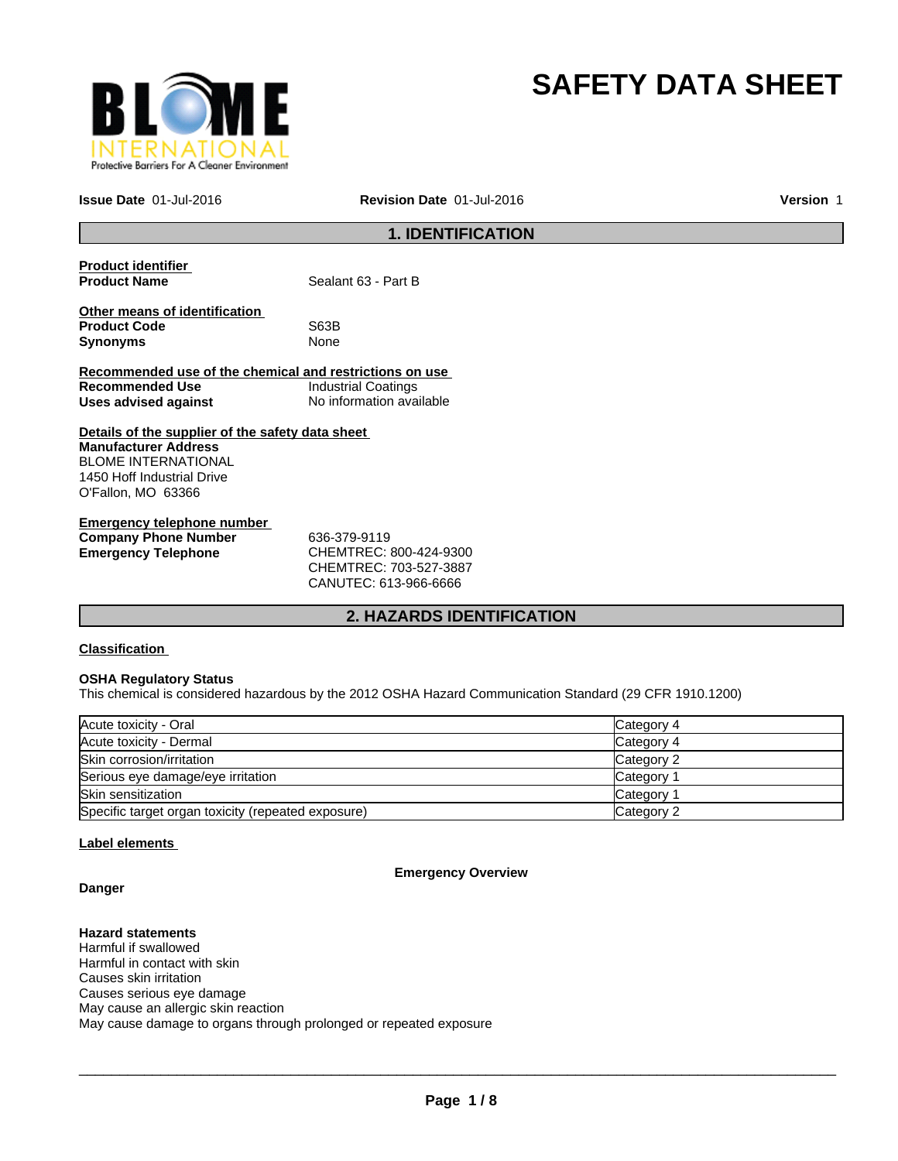

# **SAFETY DATA SHEET**

**Issue Date** 01-Jul-2016

**Revision Date** 01-Jul-2016 **Version** 1

## **1. IDENTIFICATION**

| <b>Product identifier</b><br><b>Product Name</b>        | Sealant 63 - Part B        |
|---------------------------------------------------------|----------------------------|
| Other means of identification                           |                            |
| <b>Product Code</b>                                     | S63B                       |
| <b>Synonyms</b>                                         | None                       |
| Recommended use of the chemical and restrictions on use |                            |
| Recommended Use                                         | <b>Industrial Coatings</b> |
| Uses advised against                                    | No information available   |
| Details of the supplier of the safety data sheet        |                            |
| <b>Manufacturer Address</b>                             |                            |
| <b>BLOME INTERNATIONAL</b>                              |                            |
| 1450 Hoff Industrial Drive                              |                            |
| O'Fallon, MO 63366                                      |                            |
| Emergency telephone number                              |                            |

| Elliel dellev telepholie humber |                                     |  |
|---------------------------------|-------------------------------------|--|
| <b>Company Phone Number</b>     | 636-379-9119                        |  |
| <b>Emergency Telephone</b>      | CHEMTREC: 800-424-9300              |  |
|                                 | $C$ HEMTRE $C$ $\cdot$ 703-527-3887 |  |

CHEMTREC: 703-527-3887 CANUTEC: 613-966-6666

### **2. HAZARDS IDENTIFICATION**

### **Classification**

### **OSHA Regulatory Status**

This chemical is considered hazardous by the 2012 OSHA Hazard Communication Standard (29 CFR 1910.1200)

| Acute toxicity - Oral                              | Category 4 |
|----------------------------------------------------|------------|
| Acute toxicity - Dermal                            | Category 4 |
| Skin corrosion/irritation                          | Category 2 |
| Serious eye damage/eye irritation                  | Category 1 |
| <b>Skin sensitization</b>                          | Category 1 |
| Specific target organ toxicity (repeated exposure) | Category 2 |

### **Label elements**

**Emergency Overview**

**Danger**

**Hazard statements** Harmful if swallowed Harmful in contact with skin Causes skin irritation Causes serious eye damage May cause an allergic skin reaction May cause damage to organs through prolonged or repeated exposure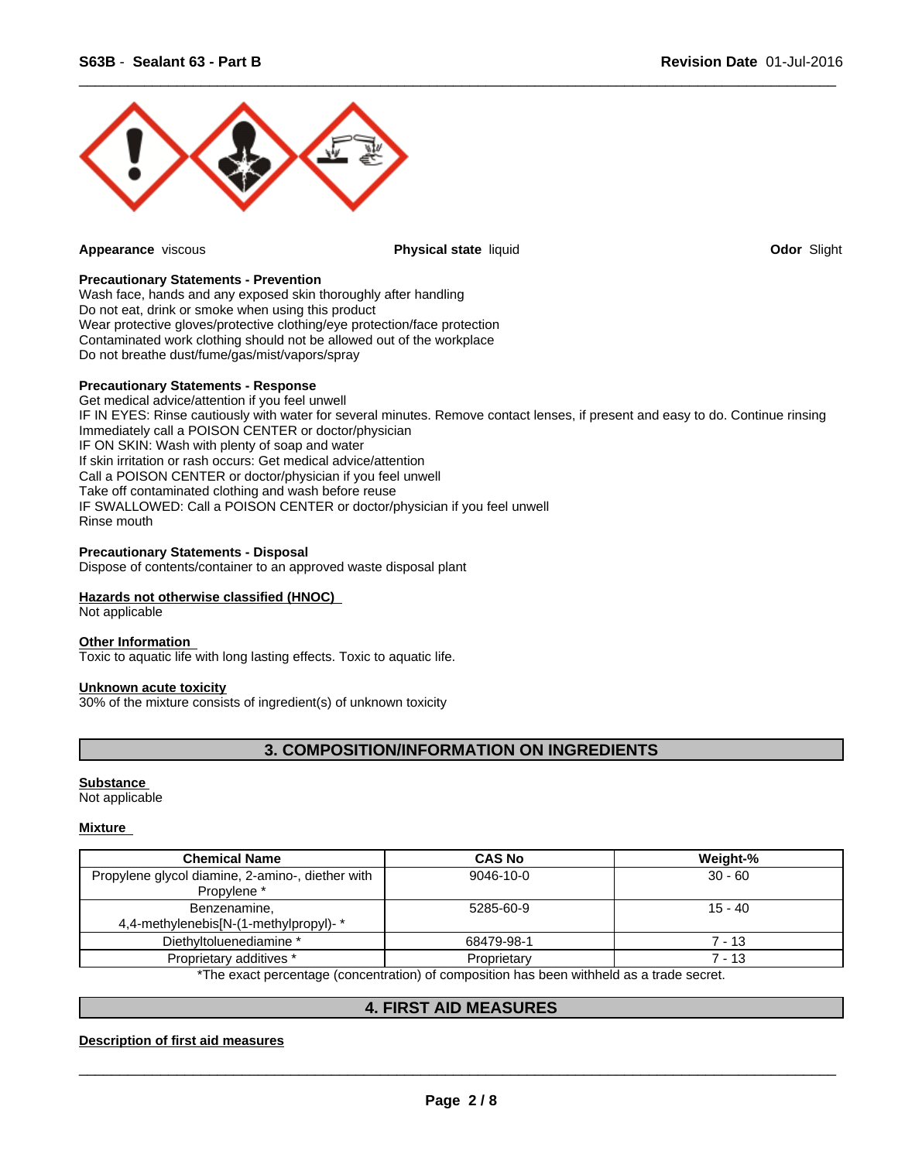

**Appearance** viscous **Physical state** liquid **Odor** Slight

 $\overline{\phantom{a}}$  ,  $\overline{\phantom{a}}$  ,  $\overline{\phantom{a}}$  ,  $\overline{\phantom{a}}$  ,  $\overline{\phantom{a}}$  ,  $\overline{\phantom{a}}$  ,  $\overline{\phantom{a}}$  ,  $\overline{\phantom{a}}$  ,  $\overline{\phantom{a}}$  ,  $\overline{\phantom{a}}$  ,  $\overline{\phantom{a}}$  ,  $\overline{\phantom{a}}$  ,  $\overline{\phantom{a}}$  ,  $\overline{\phantom{a}}$  ,  $\overline{\phantom{a}}$  ,  $\overline{\phantom{a}}$ 

### **Precautionary Statements - Prevention**

Wash face, hands and any exposed skin thoroughly after handling Do not eat, drink or smoke when using this product Wear protective gloves/protective clothing/eye protection/face protection Contaminated work clothing should not be allowed out of the workplace Do not breathe dust/fume/gas/mist/vapors/spray

#### **Precautionary Statements - Response**

Get medical advice/attention if you feel unwell IF IN EYES: Rinse cautiously with water for several minutes. Remove contact lenses, if present and easy to do. Continue rinsing Immediately call a POISON CENTER or doctor/physician IF ON SKIN: Wash with plenty of soap and water If skin irritation or rash occurs: Get medical advice/attention Call a POISON CENTER or doctor/physician if you feel unwell Take off contaminated clothing and wash before reuse IF SWALLOWED: Call a POISON CENTER or doctor/physician if you feel unwell Rinse mouth

### **Precautionary Statements - Disposal**

Dispose of contents/container to an approved waste disposal plant

### **Hazards not otherwise classified (HNOC)**

Not applicable

### **Other Information**

Toxic to aquatic life with long lasting effects. Toxic to aquatic life.

### **Unknown acute toxicity**

30% of the mixture consists of ingredient(s) of unknown toxicity

### **3. COMPOSITION/INFORMATION ON INGREDIENTS**

#### **Substance**

Not applicable

### **Mixture**

| <b>Chemical Name</b>                                            | <b>CAS No</b> | Weight-%  |
|-----------------------------------------------------------------|---------------|-----------|
| Propylene glycol diamine, 2-amino-, diether with<br>Propylene * | 9046-10-0     | $30 - 60$ |
| Benzenamine,<br>4,4-methylenebis [N-(1-methylpropyl)-*          | 5285-60-9     | $15 - 40$ |
| Diethyltoluenediamine *                                         | 68479-98-1    | 7 - 13    |
| Proprietary additives *                                         | Proprietary   | 7 - 13    |

The exact percentage (concentration) of composition has been withheld as a trade secret.

### **4. FIRST AID MEASURES**

### **Description of first aid measures**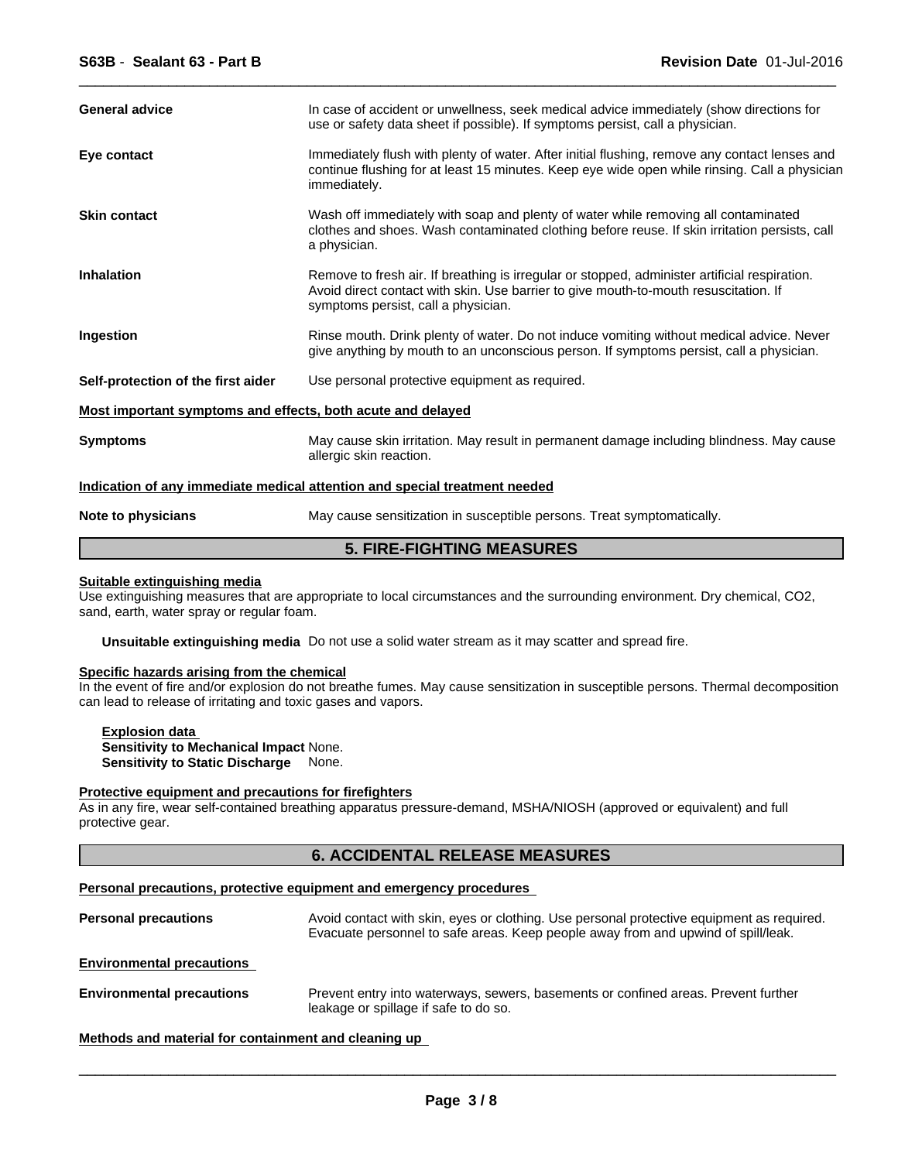| <b>General advice</b>                                       | In case of accident or unwellness, seek medical advice immediately (show directions for<br>use or safety data sheet if possible). If symptoms persist, call a physician.                                                     |  |
|-------------------------------------------------------------|------------------------------------------------------------------------------------------------------------------------------------------------------------------------------------------------------------------------------|--|
| Eye contact                                                 | Immediately flush with plenty of water. After initial flushing, remove any contact lenses and<br>continue flushing for at least 15 minutes. Keep eye wide open while rinsing. Call a physician<br>immediately.               |  |
| <b>Skin contact</b>                                         | Wash off immediately with soap and plenty of water while removing all contaminated<br>clothes and shoes. Wash contaminated clothing before reuse. If skin irritation persists, call<br>a physician.                          |  |
| <b>Inhalation</b>                                           | Remove to fresh air. If breathing is irregular or stopped, administer artificial respiration.<br>Avoid direct contact with skin. Use barrier to give mouth-to-mouth resuscitation. If<br>symptoms persist, call a physician. |  |
| Ingestion                                                   | Rinse mouth. Drink plenty of water. Do not induce vomiting without medical advice. Never<br>give anything by mouth to an unconscious person. If symptoms persist, call a physician.                                          |  |
| Self-protection of the first aider                          | Use personal protective equipment as required.                                                                                                                                                                               |  |
| Most important symptoms and effects, both acute and delayed |                                                                                                                                                                                                                              |  |
| <b>Symptoms</b>                                             | May cause skin irritation. May result in permanent damage including blindness. May cause<br>allergic skin reaction.                                                                                                          |  |
|                                                             | Indication of any immediate medical attention and special treatment needed                                                                                                                                                   |  |
| Note to physicians                                          | May cause sensitization in susceptible persons. Treat symptomatically.                                                                                                                                                       |  |

 $\overline{\phantom{a}}$  ,  $\overline{\phantom{a}}$  ,  $\overline{\phantom{a}}$  ,  $\overline{\phantom{a}}$  ,  $\overline{\phantom{a}}$  ,  $\overline{\phantom{a}}$  ,  $\overline{\phantom{a}}$  ,  $\overline{\phantom{a}}$  ,  $\overline{\phantom{a}}$  ,  $\overline{\phantom{a}}$  ,  $\overline{\phantom{a}}$  ,  $\overline{\phantom{a}}$  ,  $\overline{\phantom{a}}$  ,  $\overline{\phantom{a}}$  ,  $\overline{\phantom{a}}$  ,  $\overline{\phantom{a}}$ 

### **5. FIRE-FIGHTING MEASURES**

### **Suitable extinguishing media**

Use extinguishing measures that are appropriate to local circumstances and the surrounding environment. Dry chemical, CO2, sand, earth, water spray or regular foam.

**Unsuitable extinguishing media** Do not use a solid water stream as it may scatter and spread fire.

### **Specific hazards arising from the chemical**

In the event of fire and/or explosion do not breathe fumes. May cause sensitization in susceptible persons. Thermal decomposition can lead to release of irritating and toxic gases and vapors.

**Explosion data Sensitivity to Mechanical Impact** None. **Sensitivity to Static Discharge** None.

#### **Protective equipment and precautions for firefighters**

As in any fire, wear self-contained breathing apparatus pressure-demand, MSHA/NIOSH (approved or equivalent) and full protective gear.

### **6. ACCIDENTAL RELEASE MEASURES**

#### **Personal precautions, protective equipment and emergency procedures**

Personal precautions **Avoid contact with skin, eyes or clothing.** Use personal protective equipment as required. Evacuate personnel to safe areas. Keep people away from and upwind of spill/leak. **Environmental precautions Environmental precautions** Prevent entry into waterways, sewers, basements or confined areas. Prevent further leakage or spillage if safe to do so.

**Methods and material for containment and cleaning up**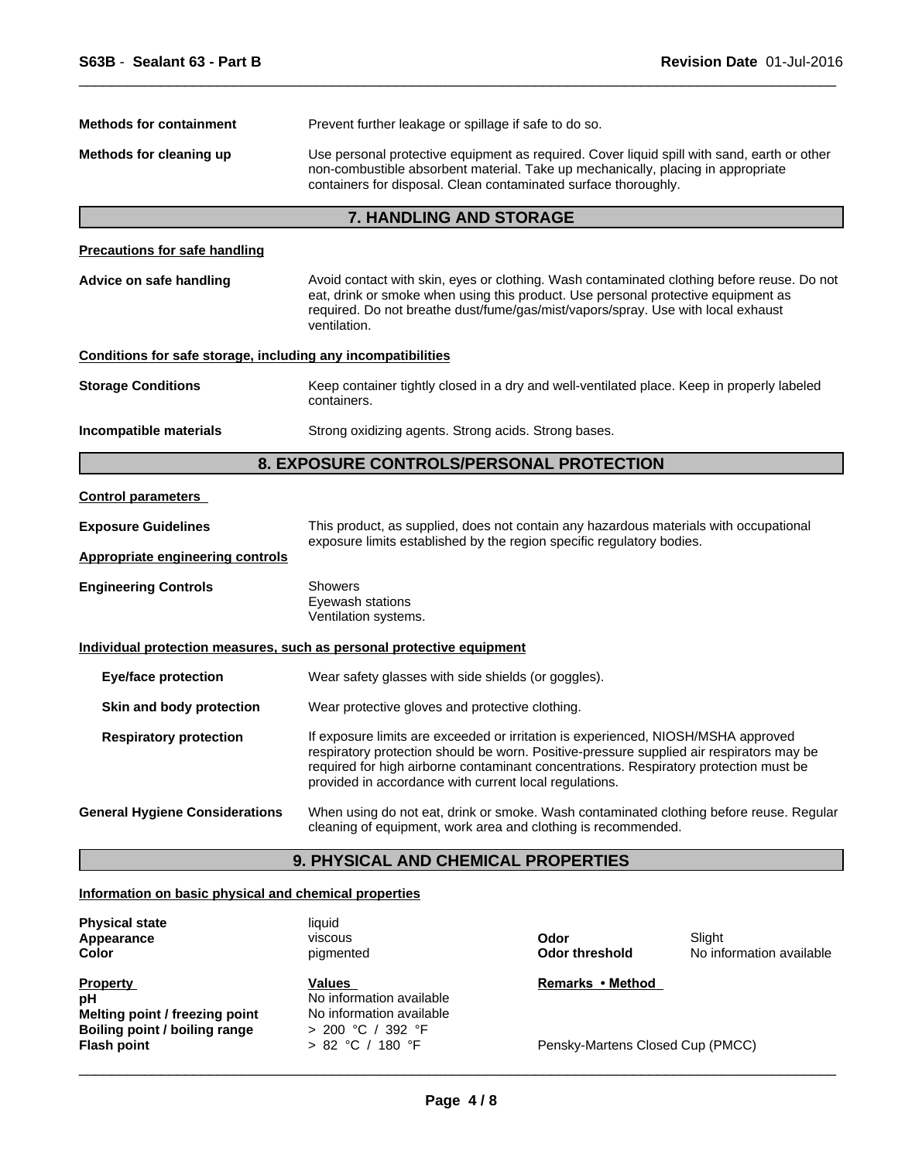| <b>Methods for containment</b>                               | Prevent further leakage or spillage if safe to do so.                                                                                                                                                                                                                                                                            |
|--------------------------------------------------------------|----------------------------------------------------------------------------------------------------------------------------------------------------------------------------------------------------------------------------------------------------------------------------------------------------------------------------------|
| Methods for cleaning up                                      | Use personal protective equipment as required. Cover liquid spill with sand, earth or other<br>non-combustible absorbent material. Take up mechanically, placing in appropriate<br>containers for disposal. Clean contaminated surface thoroughly.                                                                               |
|                                                              | 7. HANDLING AND STORAGE                                                                                                                                                                                                                                                                                                          |
| <b>Precautions for safe handling</b>                         |                                                                                                                                                                                                                                                                                                                                  |
| Advice on safe handling                                      | Avoid contact with skin, eyes or clothing. Wash contaminated clothing before reuse. Do not<br>eat, drink or smoke when using this product. Use personal protective equipment as<br>required. Do not breathe dust/fume/gas/mist/vapors/spray. Use with local exhaust<br>ventilation.                                              |
| Conditions for safe storage, including any incompatibilities |                                                                                                                                                                                                                                                                                                                                  |
| Storage Conditions                                           | Keep container tightly closed in a dry and well-ventilated place. Keep in properly labeled<br>containers.                                                                                                                                                                                                                        |
| Incompatible materials                                       | Strong oxidizing agents. Strong acids. Strong bases.                                                                                                                                                                                                                                                                             |
|                                                              | 8. EXPOSURE CONTROLS/PERSONAL PROTECTION                                                                                                                                                                                                                                                                                         |
| <b>Control parameters</b>                                    |                                                                                                                                                                                                                                                                                                                                  |
| <b>Exposure Guidelines</b>                                   | This product, as supplied, does not contain any hazardous materials with occupational<br>exposure limits established by the region specific regulatory bodies.                                                                                                                                                                   |
| <b>Appropriate engineering controls</b>                      |                                                                                                                                                                                                                                                                                                                                  |
| <b>Engineering Controls</b>                                  | Showers<br>Eyewash stations<br>Ventilation systems.                                                                                                                                                                                                                                                                              |
|                                                              | <u>Individual protection measures, such as personal protective equipment</u>                                                                                                                                                                                                                                                     |
| Eye/face protection                                          | Wear safety glasses with side shields (or goggles).                                                                                                                                                                                                                                                                              |
| Skin and body protection                                     | Wear protective gloves and protective clothing.                                                                                                                                                                                                                                                                                  |
| <b>Respiratory protection</b>                                | If exposure limits are exceeded or irritation is experienced, NIOSH/MSHA approved<br>respiratory protection should be worn. Positive-pressure supplied air respirators may be<br>required for high airborne contaminant concentrations. Respiratory protection must be<br>provided in accordance with current local regulations. |
| General Hygiene Considerations                               | When using do not eat, drink or smoke. Wash contaminated clothing before reuse. Regular<br>cleaning of equipment, work area and clothing is recommended.                                                                                                                                                                         |
|                                                              | <b>9. PHYSICAL AND CHEMICAL PROPERTIES</b>                                                                                                                                                                                                                                                                                       |

 $\overline{\phantom{a}}$  ,  $\overline{\phantom{a}}$  ,  $\overline{\phantom{a}}$  ,  $\overline{\phantom{a}}$  ,  $\overline{\phantom{a}}$  ,  $\overline{\phantom{a}}$  ,  $\overline{\phantom{a}}$  ,  $\overline{\phantom{a}}$  ,  $\overline{\phantom{a}}$  ,  $\overline{\phantom{a}}$  ,  $\overline{\phantom{a}}$  ,  $\overline{\phantom{a}}$  ,  $\overline{\phantom{a}}$  ,  $\overline{\phantom{a}}$  ,  $\overline{\phantom{a}}$  ,  $\overline{\phantom{a}}$ 

### **Information on basic physical and chemical properties**

| <b>Physical state</b><br>Appearance<br>Color | liauid<br>viscous<br>pigmented            | Odor<br><b>Odor threshold</b>    | Slight<br>No information available |
|----------------------------------------------|-------------------------------------------|----------------------------------|------------------------------------|
| <b>Property</b><br>рH                        | <b>Values</b><br>No information available | Remarks • Method                 |                                    |
| Melting point / freezing point               | No information available                  |                                  |                                    |
| Boiling point / boiling range                | $> 200$ °C / 392 °F                       |                                  |                                    |
| <b>Flash point</b>                           | > 82 °C / 180 °F                          | Pensky-Martens Closed Cup (PMCC) |                                    |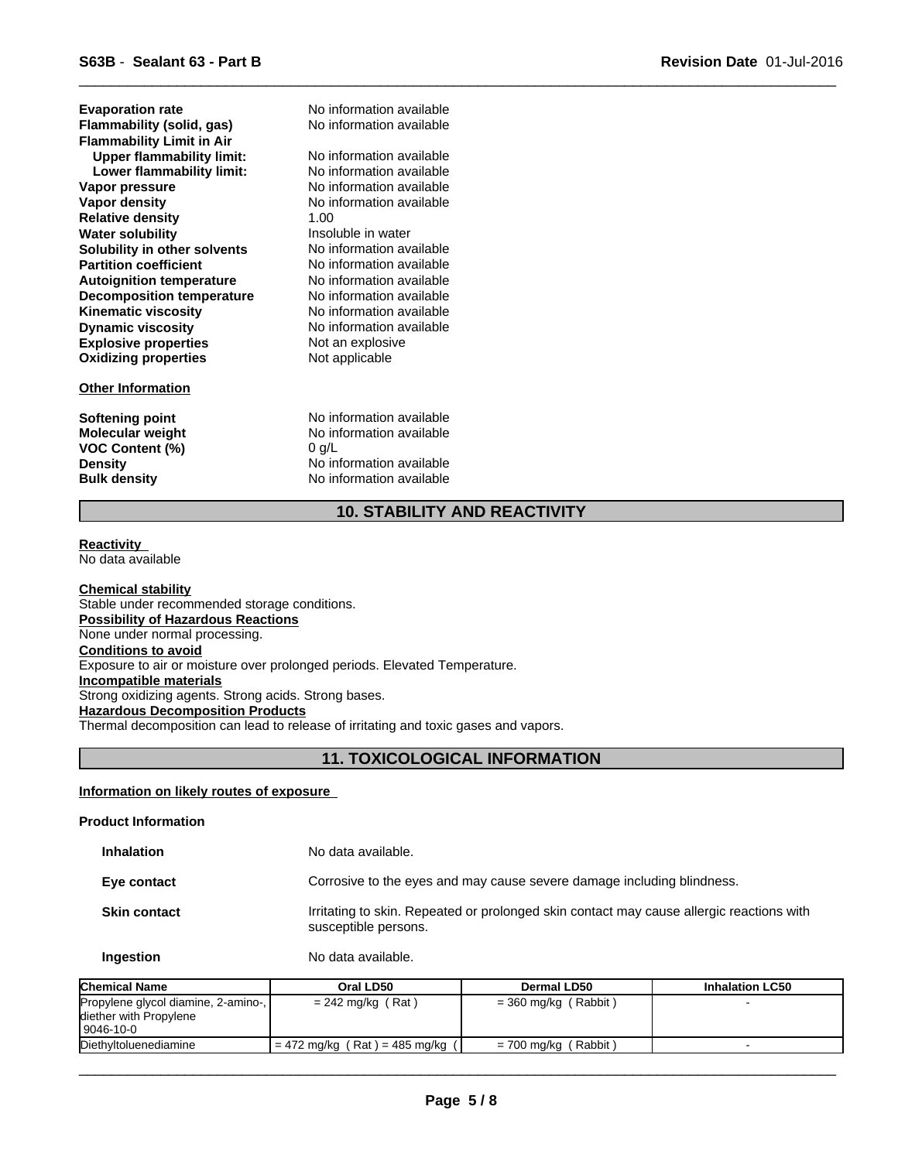**Explosive properties** Not an explosive **Oxidizing properties** Not applicable **Water solubility Insoluble in water**<br> **Solubility in other solvents No information available Solubility in other solvents** No information available<br> **Partition coefficient** No information available **Partition coefficient Upper flammability limit:** No information available **Autoignition temperature** No information available **Decomposition temperature** No information available **Kinematic viscosity** No information available **Lower flammability limit: Dynamic viscosity** No information available **Flammability (solid, gas)** No information available **Vapor pressure No information available**<br> **Vapor density No information available Evaporation rate Relative density** 1.00 **Flammability Limit in Air**

### **Other Information**

**VOC Content (%)** 0 g/L

No information available No information available **No information available** 

**Softening point** No information available **Molecular weight** No information available **Density** No information available **Bulk density** No information available

### **10. STABILITY AND REACTIVITY**

 $\overline{\phantom{a}}$  ,  $\overline{\phantom{a}}$  ,  $\overline{\phantom{a}}$  ,  $\overline{\phantom{a}}$  ,  $\overline{\phantom{a}}$  ,  $\overline{\phantom{a}}$  ,  $\overline{\phantom{a}}$  ,  $\overline{\phantom{a}}$  ,  $\overline{\phantom{a}}$  ,  $\overline{\phantom{a}}$  ,  $\overline{\phantom{a}}$  ,  $\overline{\phantom{a}}$  ,  $\overline{\phantom{a}}$  ,  $\overline{\phantom{a}}$  ,  $\overline{\phantom{a}}$  ,  $\overline{\phantom{a}}$ 

#### **Reactivity**  No data available

**Chemical stability** Stable under recommended storage conditions. **Possibility of Hazardous Reactions** None under normal processing. **Conditions to avoid** Exposure to air or moisture over prolonged periods. Elevated Temperature. **Incompatible materials** Strong oxidizing agents. Strong acids. Strong bases. **Hazardous Decomposition Products** Thermal decomposition can lead to release of irritating and toxic gases and vapors.

### **11. TOXICOLOGICAL INFORMATION**

### **Information on likely routes of exposure**

### **Product Information**

**Inhalation** No data available. **Eye contact** Corrosive to the eyes and may cause severe damage including blindness. **Skin contact** Irritating to skin. Repeated or prolonged skin contact may cause allergic reactions with susceptible persons. **Ingestion** No data available.

| <b>Chemical Name</b>                                                          | Oral LD50                         | Dermal LD50            | <b>Inhalation LC50</b> |
|-------------------------------------------------------------------------------|-----------------------------------|------------------------|------------------------|
| Propylene glycol diamine, 2-amino-,  <br>diether with Propylene<br> 9046-10-0 | $= 242$ mg/kg (Rat)               | $=$ 360 mg/kg (Rabbit) |                        |
| Diethyltoluenediamine                                                         | = 472 mg/kg ( Rat ) = 485 mg/kg ( | $= 700$ mg/kg (Rabbit) |                        |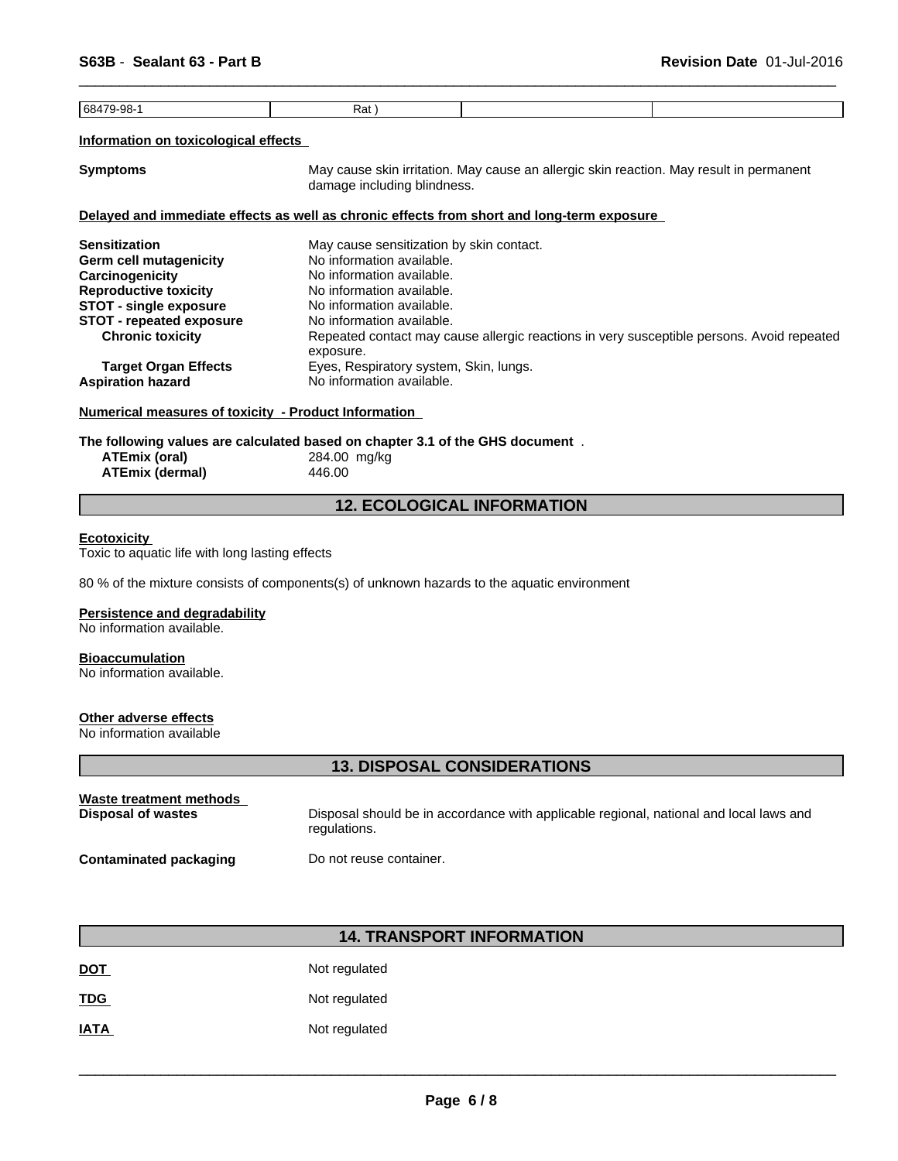| 68479-98 | Rat , |  |
|----------|-------|--|

### **Information on toxicological effects**

**Symptoms** May cause skin irritation. May cause an allergic skin reaction. May result in permanent damage including blindness.

 $\overline{\phantom{a}}$  ,  $\overline{\phantom{a}}$  ,  $\overline{\phantom{a}}$  ,  $\overline{\phantom{a}}$  ,  $\overline{\phantom{a}}$  ,  $\overline{\phantom{a}}$  ,  $\overline{\phantom{a}}$  ,  $\overline{\phantom{a}}$  ,  $\overline{\phantom{a}}$  ,  $\overline{\phantom{a}}$  ,  $\overline{\phantom{a}}$  ,  $\overline{\phantom{a}}$  ,  $\overline{\phantom{a}}$  ,  $\overline{\phantom{a}}$  ,  $\overline{\phantom{a}}$  ,  $\overline{\phantom{a}}$ 

#### **Delayed and immediate effects as well as chronic effects from short and long-term exposure**

| May cause sensitization by skin contact.                                                               |
|--------------------------------------------------------------------------------------------------------|
| No information available.                                                                              |
| No information available.                                                                              |
| No information available.                                                                              |
| No information available.                                                                              |
| No information available.                                                                              |
| Repeated contact may cause allergic reactions in very susceptible persons. Avoid repeated<br>exposure. |
| Eyes, Respiratory system, Skin, lungs.<br>No information available.                                    |
|                                                                                                        |

### **Numerical measures of toxicity - Product Information**

**The following values are calculated based on chapter 3.1 of the GHS document** .

| ATEmix (oral)          | 284.00 mg/kg |  |
|------------------------|--------------|--|
| <b>ATEmix (dermal)</b> | 446.00       |  |

### **12. ECOLOGICAL INFORMATION**

### **Ecotoxicity**

Toxic to aquatic life with long lasting effects

80 % of the mixture consists of components(s) of unknown hazards to the aquatic environment

#### **Persistence and degradability**

No information available.

#### **Bioaccumulation**

No information available.

#### **Other adverse effects**

No information available

### **13. DISPOSAL CONSIDERATIONS**

| Waste treatment methods | Disposal should be in accordance with applicable regional, national and local laws and |
|-------------------------|----------------------------------------------------------------------------------------|
| Disposal of wastes      | regulations.                                                                           |
| Contaminated packaging  | Do not reuse container.                                                                |

### **14. TRANSPORT INFORMATION**

| <b>DOT</b>  | Not regulated |
|-------------|---------------|
| <b>TDG</b>  | Not regulated |
| <b>IATA</b> | Not regulated |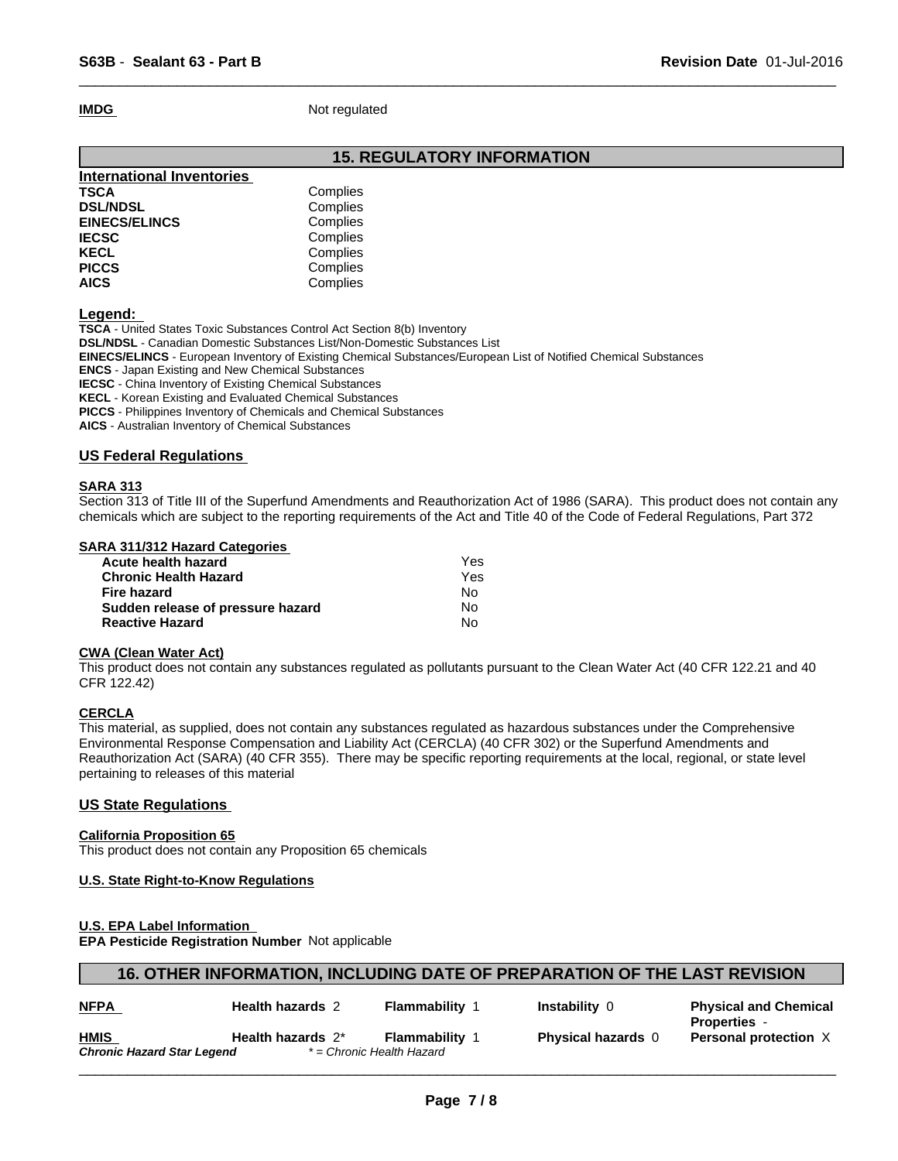**IMDG** Not regulated

### **15. REGULATORY INFORMATION**

 $\overline{\phantom{a}}$  ,  $\overline{\phantom{a}}$  ,  $\overline{\phantom{a}}$  ,  $\overline{\phantom{a}}$  ,  $\overline{\phantom{a}}$  ,  $\overline{\phantom{a}}$  ,  $\overline{\phantom{a}}$  ,  $\overline{\phantom{a}}$  ,  $\overline{\phantom{a}}$  ,  $\overline{\phantom{a}}$  ,  $\overline{\phantom{a}}$  ,  $\overline{\phantom{a}}$  ,  $\overline{\phantom{a}}$  ,  $\overline{\phantom{a}}$  ,  $\overline{\phantom{a}}$  ,  $\overline{\phantom{a}}$ 

| <b>International Inventories</b> |          |  |
|----------------------------------|----------|--|
| TSCA                             | Complies |  |
| <b>DSL/NDSL</b>                  | Complies |  |
| <b>EINECS/ELINCS</b>             | Complies |  |
| <b>IECSC</b>                     | Complies |  |
| KECL                             | Complies |  |
| <b>PICCS</b>                     | Complies |  |
| <b>AICS</b>                      | Complies |  |

**Legend:** 

**TSCA** - United States Toxic Substances Control Act Section 8(b) Inventory

**DSL/NDSL** - Canadian Domestic Substances List/Non-Domestic Substances List

**EINECS/ELINCS** - European Inventory of Existing Chemical Substances/European List of Notified Chemical Substances

**ENCS** - Japan Existing and New Chemical Substances

**IECSC** - China Inventory of Existing Chemical Substances

**KECL** - Korean Existing and Evaluated Chemical Substances

**PICCS** - Philippines Inventory of Chemicals and Chemical Substances

**AICS** - Australian Inventory of Chemical Substances

### **US Federal Regulations**

#### **SARA 313**

Section 313 of Title III of the Superfund Amendments and Reauthorization Act of 1986 (SARA). This product does not contain any chemicals which are subject to the reporting requirements of the Act and Title 40 of the Code of Federal Regulations, Part 372

### **SARA 311/312 Hazard Categories**

| Acute health hazard               | Yes |  |
|-----------------------------------|-----|--|
| Chronic Health Hazard             | Yes |  |
| Fire hazard                       | N٥  |  |
| Sudden release of pressure hazard | No. |  |
| <b>Reactive Hazard</b>            | N٥  |  |
|                                   |     |  |

#### **CWA (Clean Water Act)**

This product does not contain any substances regulated as pollutants pursuant to the Clean Water Act (40 CFR 122.21 and 40 CFR 122.42)

### **CERCLA**

This material, as supplied, does not contain any substances regulated as hazardous substances under the Comprehensive Environmental Response Compensation and Liability Act (CERCLA) (40 CFR 302) or the Superfund Amendments and Reauthorization Act (SARA) (40 CFR 355). There may be specific reporting requirements at the local, regional, or state level pertaining to releases of this material

### **US State Regulations**

### **California Proposition 65**

This product does not contain any Proposition 65 chemicals

### **U.S. State Right-to-Know Regulations**

### **U.S. EPA Label Information**

**EPA Pesticide Registration Number** Not applicable

| 16. OTHER INFORMATION, INCLUDING DATE OF PREPARATION OF THE LAST REVISION |
|---------------------------------------------------------------------------|
|---------------------------------------------------------------------------|

| <b>NFPA</b>                | <b>Health hazards 2</b> | <b>Flammability</b>       | Instability 0           | <b>Physical and Chemical</b> |
|----------------------------|-------------------------|---------------------------|-------------------------|------------------------------|
|                            |                         |                           |                         | Properties                   |
| <b>HMIS</b>                | Health hazards 2*       | Flammabilitv              | <b>Physical hazards</b> | <b>Personal protection X</b> |
| Chronic Hazard Star Legend |                         | * = Chronic Health Hazard |                         |                              |